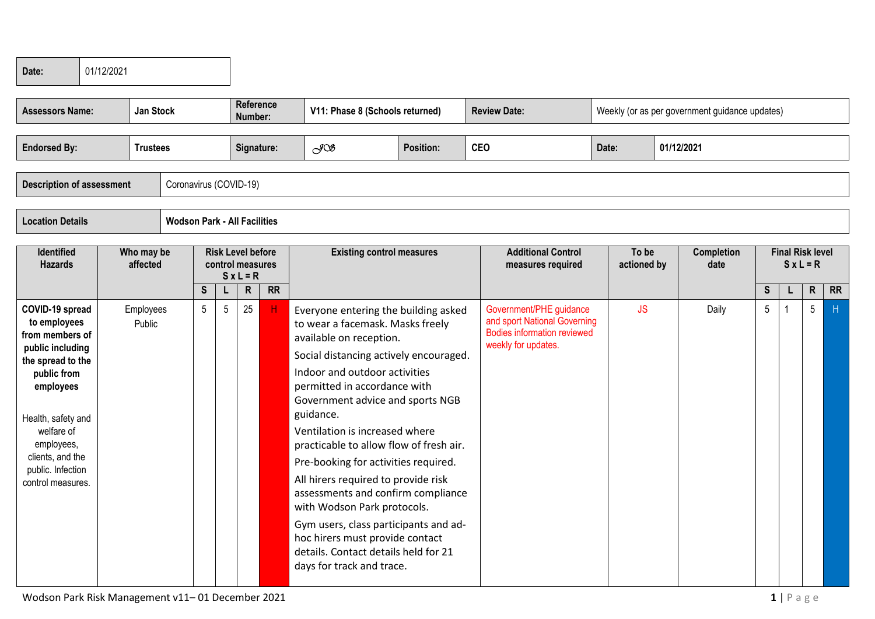| Date:                                                                                                                                                                                                                                   | 01/12/2021 |                        |                                     |                 |                 |                             |                                                                    |  |                                                                                                                                                                                                                                                                                                                                                                                                                                                                                                                                                                                                                                                   |                  |            |                                                                                                                      |       |                      |                                                |             |                         |           |    |
|-----------------------------------------------------------------------------------------------------------------------------------------------------------------------------------------------------------------------------------------|------------|------------------------|-------------------------------------|-----------------|-----------------|-----------------------------|--------------------------------------------------------------------|--|---------------------------------------------------------------------------------------------------------------------------------------------------------------------------------------------------------------------------------------------------------------------------------------------------------------------------------------------------------------------------------------------------------------------------------------------------------------------------------------------------------------------------------------------------------------------------------------------------------------------------------------------------|------------------|------------|----------------------------------------------------------------------------------------------------------------------|-------|----------------------|------------------------------------------------|-------------|-------------------------|-----------|----|
| <b>Assessors Name:</b>                                                                                                                                                                                                                  |            | <b>Jan Stock</b>       |                                     |                 |                 | <b>Reference</b><br>Number: |                                                                    |  | V11: Phase 8 (Schools returned)                                                                                                                                                                                                                                                                                                                                                                                                                                                                                                                                                                                                                   |                  |            | <b>Review Date:</b>                                                                                                  |       |                      | Weekly (or as per government guidance updates) |             |                         |           |    |
| <b>Endorsed By:</b>                                                                                                                                                                                                                     |            | <b>Trustees</b>        |                                     |                 |                 | Signature:                  |                                                                    |  | $\mathcal{S}^{\text{OS}}$                                                                                                                                                                                                                                                                                                                                                                                                                                                                                                                                                                                                                         | <b>Position:</b> | <b>CEO</b> |                                                                                                                      | Date: |                      | 01/12/2021                                     |             |                         |           |    |
| <b>Description of assessment</b>                                                                                                                                                                                                        |            |                        | Coronavirus (COVID-19)              |                 |                 |                             |                                                                    |  |                                                                                                                                                                                                                                                                                                                                                                                                                                                                                                                                                                                                                                                   |                  |            |                                                                                                                      |       |                      |                                                |             |                         |           |    |
| <b>Location Details</b>                                                                                                                                                                                                                 |            |                        | <b>Wodson Park - All Facilities</b> |                 |                 |                             |                                                                    |  |                                                                                                                                                                                                                                                                                                                                                                                                                                                                                                                                                                                                                                                   |                  |            |                                                                                                                      |       |                      |                                                |             |                         |           |    |
| <b>Identified</b><br><b>Hazards</b>                                                                                                                                                                                                     |            | Who may be<br>affected |                                     |                 |                 | $S x L = R$                 | <b>Risk Level before</b><br>control measures<br>$\mathsf{R}$<br>RR |  | <b>Existing control measures</b>                                                                                                                                                                                                                                                                                                                                                                                                                                                                                                                                                                                                                  |                  |            | <b>Additional Control</b><br>measures required                                                                       |       | To be<br>actioned by | <b>Completion</b><br>date                      |             | <b>Final Risk level</b> | $SxL = R$ |    |
|                                                                                                                                                                                                                                         |            |                        |                                     | <b>S</b>        | L               |                             |                                                                    |  |                                                                                                                                                                                                                                                                                                                                                                                                                                                                                                                                                                                                                                                   |                  |            |                                                                                                                      |       |                      |                                                | $\mathsf S$ |                         | ${\sf R}$ | RR |
| COVID-19 spread<br>to employees<br>from members of<br>public including<br>the spread to the<br>public from<br>employees<br>Health, safety and<br>welfare of<br>employees,<br>clients, and the<br>public. Infection<br>control measures. |            | Employees<br>Public    |                                     | $5\phantom{.0}$ | $5\phantom{.0}$ | 25                          | H                                                                  |  | Everyone entering the building asked<br>to wear a facemask. Masks freely<br>available on reception.<br>Social distancing actively encouraged.<br>Indoor and outdoor activities<br>permitted in accordance with<br>Government advice and sports NGB<br>guidance.<br>Ventilation is increased where<br>practicable to allow flow of fresh air.<br>Pre-booking for activities required.<br>All hirers required to provide risk<br>assessments and confirm compliance<br>with Wodson Park protocols.<br>Gym users, class participants and ad-<br>hoc hirers must provide contact<br>details. Contact details held for 21<br>days for track and trace. |                  |            | Government/PHE guidance<br>and sport National Governing<br><b>Bodies information reviewed</b><br>weekly for updates. |       | <b>JS</b>            | Daily                                          | 5           | $\mathbf{1}$            | 5         | H  |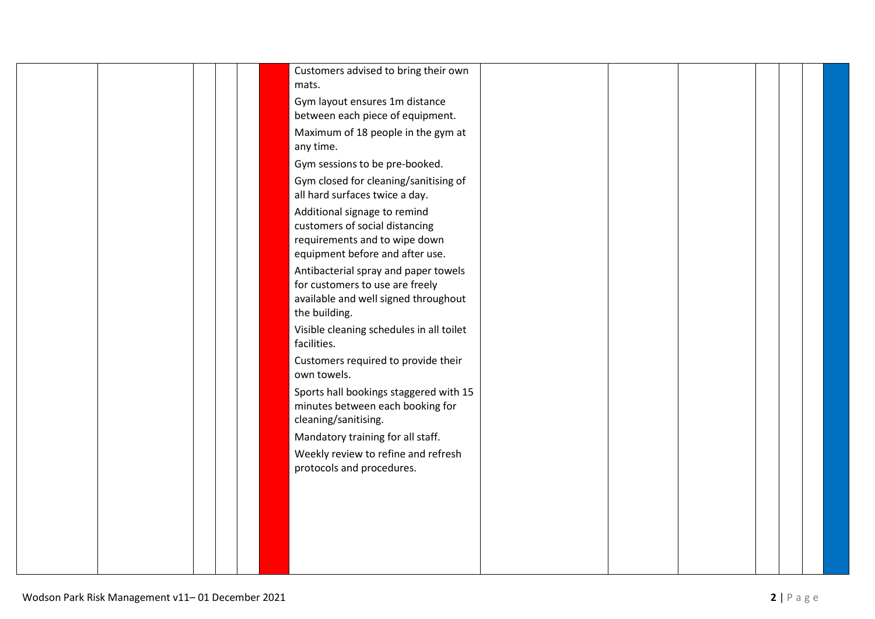| Customers advised to bring their own<br>mats. |  |  |  |
|-----------------------------------------------|--|--|--|
|                                               |  |  |  |
| Gym layout ensures 1m distance                |  |  |  |
| between each piece of equipment.              |  |  |  |
| Maximum of 18 people in the gym at            |  |  |  |
| any time.                                     |  |  |  |
| Gym sessions to be pre-booked.                |  |  |  |
| Gym closed for cleaning/sanitising of         |  |  |  |
| all hard surfaces twice a day.                |  |  |  |
| Additional signage to remind                  |  |  |  |
| customers of social distancing                |  |  |  |
| requirements and to wipe down                 |  |  |  |
| equipment before and after use.               |  |  |  |
| Antibacterial spray and paper towels          |  |  |  |
| for customers to use are freely               |  |  |  |
| available and well signed throughout          |  |  |  |
| the building.                                 |  |  |  |
| Visible cleaning schedules in all toilet      |  |  |  |
| facilities.                                   |  |  |  |
| Customers required to provide their           |  |  |  |
| own towels.                                   |  |  |  |
| Sports hall bookings staggered with 15        |  |  |  |
| minutes between each booking for              |  |  |  |
| cleaning/sanitising.                          |  |  |  |
| Mandatory training for all staff.             |  |  |  |
| Weekly review to refine and refresh           |  |  |  |
| protocols and procedures.                     |  |  |  |
|                                               |  |  |  |
|                                               |  |  |  |
|                                               |  |  |  |
|                                               |  |  |  |
|                                               |  |  |  |
|                                               |  |  |  |
|                                               |  |  |  |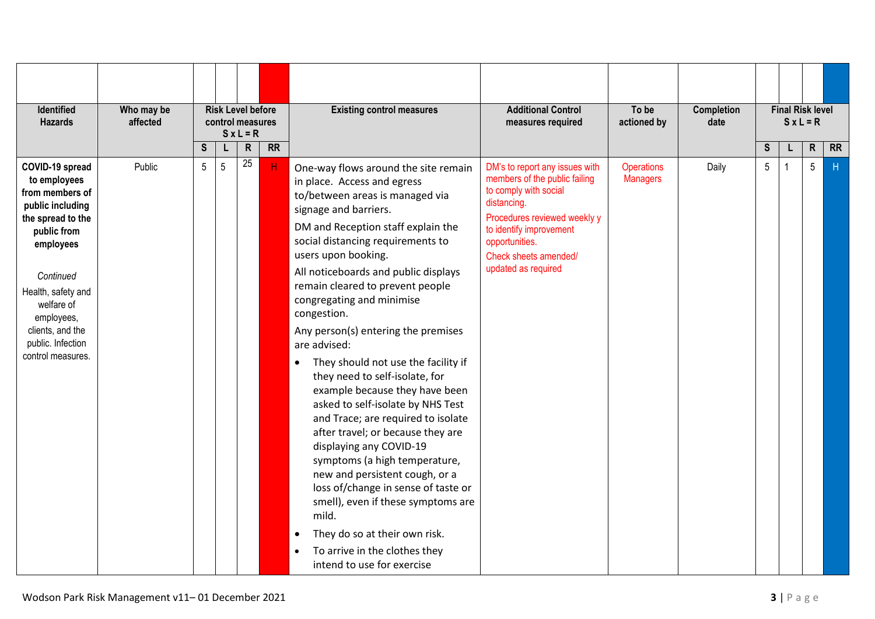| Identified<br><b>Hazards</b>                                                                                                                                                                                                                         | Who may be<br>affected |   | <b>Risk Level before</b><br>control measures | $S x L = R$  |           | <b>Existing control measures</b>                                                                                                                                                                                                                                                                                                                                                                                                                                                                                                                                                                                                                                                                                                                                                                                                                                                                                                             | <b>Additional Control</b><br>measures required                                                                                                                                                                                       | To be<br>actioned by                 | <b>Completion</b><br>date |              | <b>Final Risk level</b> | $SxL = R$    |           |
|------------------------------------------------------------------------------------------------------------------------------------------------------------------------------------------------------------------------------------------------------|------------------------|---|----------------------------------------------|--------------|-----------|----------------------------------------------------------------------------------------------------------------------------------------------------------------------------------------------------------------------------------------------------------------------------------------------------------------------------------------------------------------------------------------------------------------------------------------------------------------------------------------------------------------------------------------------------------------------------------------------------------------------------------------------------------------------------------------------------------------------------------------------------------------------------------------------------------------------------------------------------------------------------------------------------------------------------------------------|--------------------------------------------------------------------------------------------------------------------------------------------------------------------------------------------------------------------------------------|--------------------------------------|---------------------------|--------------|-------------------------|--------------|-----------|
|                                                                                                                                                                                                                                                      |                        | S | L                                            | $\mathsf{R}$ | <b>RR</b> |                                                                                                                                                                                                                                                                                                                                                                                                                                                                                                                                                                                                                                                                                                                                                                                                                                                                                                                                              |                                                                                                                                                                                                                                      |                                      |                           | $\mathbf{s}$ |                         | $\mathsf{R}$ | <b>RR</b> |
| COVID-19 spread<br>to employees<br>from members of<br>public including<br>the spread to the<br>public from<br>employees<br>Continued<br>Health, safety and<br>welfare of<br>employees,<br>clients, and the<br>public. Infection<br>control measures. | Public                 | 5 | 5                                            | 25           | н.        | One-way flows around the site remain<br>in place. Access and egress<br>to/between areas is managed via<br>signage and barriers.<br>DM and Reception staff explain the<br>social distancing requirements to<br>users upon booking.<br>All noticeboards and public displays<br>remain cleared to prevent people<br>congregating and minimise<br>congestion.<br>Any person(s) entering the premises<br>are advised:<br>They should not use the facility if<br>$\bullet$<br>they need to self-isolate, for<br>example because they have been<br>asked to self-isolate by NHS Test<br>and Trace; are required to isolate<br>after travel; or because they are<br>displaying any COVID-19<br>symptoms (a high temperature,<br>new and persistent cough, or a<br>loss of/change in sense of taste or<br>smell), even if these symptoms are<br>mild.<br>They do so at their own risk.<br>To arrive in the clothes they<br>intend to use for exercise | DM's to report any issues with<br>members of the public failing<br>to comply with social<br>distancing.<br>Procedures reviewed weekly y<br>to identify improvement<br>opportunities.<br>Check sheets amended/<br>updated as required | <b>Operations</b><br><b>Managers</b> | Daily                     | 5            |                         | 5            | H         |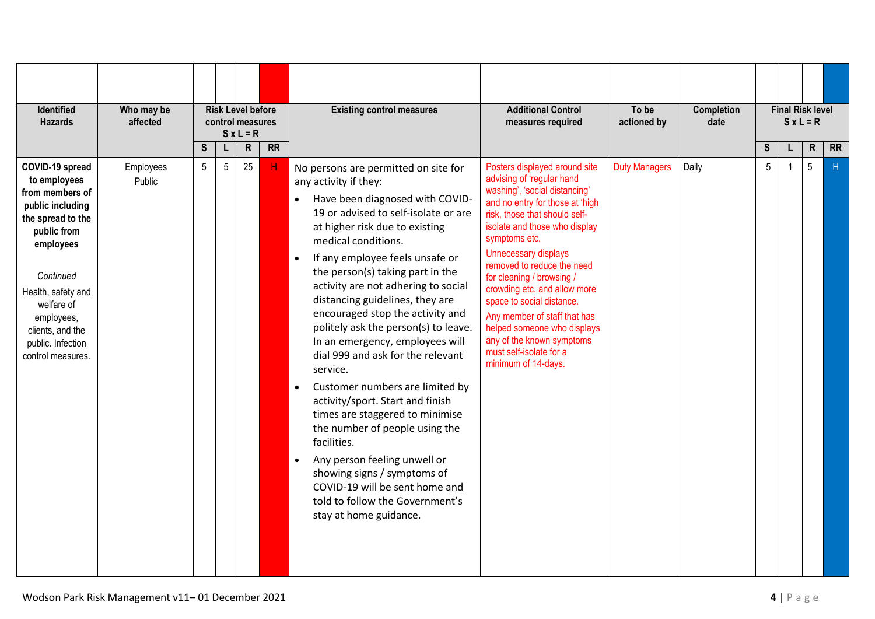| <b>Identified</b><br><b>Hazards</b>                                                                                                                                                                                                                  | Who may be<br>affected |                | <b>Risk Level before</b><br>control measures | $S x L = R$ |           | <b>Existing control measures</b>                                                                                                                                                                                                                                                                                                                                                                                                                                                                                                                                                                                                                                                                                                                                                                                                            | <b>Additional Control</b><br>measures required                                                                                                                                                                                                                                                                                                                                                                                                                                                                  | To be<br>actioned by | Completion<br>date |                 | $S x L = R$ | <b>Final Risk level</b> |           |
|------------------------------------------------------------------------------------------------------------------------------------------------------------------------------------------------------------------------------------------------------|------------------------|----------------|----------------------------------------------|-------------|-----------|---------------------------------------------------------------------------------------------------------------------------------------------------------------------------------------------------------------------------------------------------------------------------------------------------------------------------------------------------------------------------------------------------------------------------------------------------------------------------------------------------------------------------------------------------------------------------------------------------------------------------------------------------------------------------------------------------------------------------------------------------------------------------------------------------------------------------------------------|-----------------------------------------------------------------------------------------------------------------------------------------------------------------------------------------------------------------------------------------------------------------------------------------------------------------------------------------------------------------------------------------------------------------------------------------------------------------------------------------------------------------|----------------------|--------------------|-----------------|-------------|-------------------------|-----------|
|                                                                                                                                                                                                                                                      |                        | S              | L                                            | ${\sf R}$   | <b>RR</b> |                                                                                                                                                                                                                                                                                                                                                                                                                                                                                                                                                                                                                                                                                                                                                                                                                                             |                                                                                                                                                                                                                                                                                                                                                                                                                                                                                                                 |                      |                    | S               |             | $\mathsf{R}$            | <b>RR</b> |
| COVID-19 spread<br>to employees<br>from members of<br>public including<br>the spread to the<br>public from<br>employees<br>Continued<br>Health, safety and<br>welfare of<br>employees,<br>clients, and the<br>public. Infection<br>control measures. | Employees<br>Public    | 5 <sup>5</sup> | 5                                            | 25          | Н.        | No persons are permitted on site for<br>any activity if they:<br>Have been diagnosed with COVID-<br>19 or advised to self-isolate or are<br>at higher risk due to existing<br>medical conditions.<br>If any employee feels unsafe or<br>the person(s) taking part in the<br>activity are not adhering to social<br>distancing guidelines, they are<br>encouraged stop the activity and<br>politely ask the person(s) to leave.<br>In an emergency, employees will<br>dial 999 and ask for the relevant<br>service.<br>Customer numbers are limited by<br>activity/sport. Start and finish<br>times are staggered to minimise<br>the number of people using the<br>facilities.<br>Any person feeling unwell or<br>showing signs / symptoms of<br>COVID-19 will be sent home and<br>told to follow the Government's<br>stay at home guidance. | Posters displayed around site<br>advising of 'regular hand<br>washing', 'social distancing'<br>and no entry for those at 'high<br>risk, those that should self-<br>isolate and those who display<br>symptoms etc.<br>Unnecessary displays<br>removed to reduce the need<br>for cleaning / browsing /<br>crowding etc. and allow more<br>space to social distance.<br>Any member of staff that has<br>helped someone who displays<br>any of the known symptoms<br>must self-isolate for a<br>minimum of 14-days. | <b>Duty Managers</b> | Daily              | $5\phantom{.0}$ |             | 5                       | H         |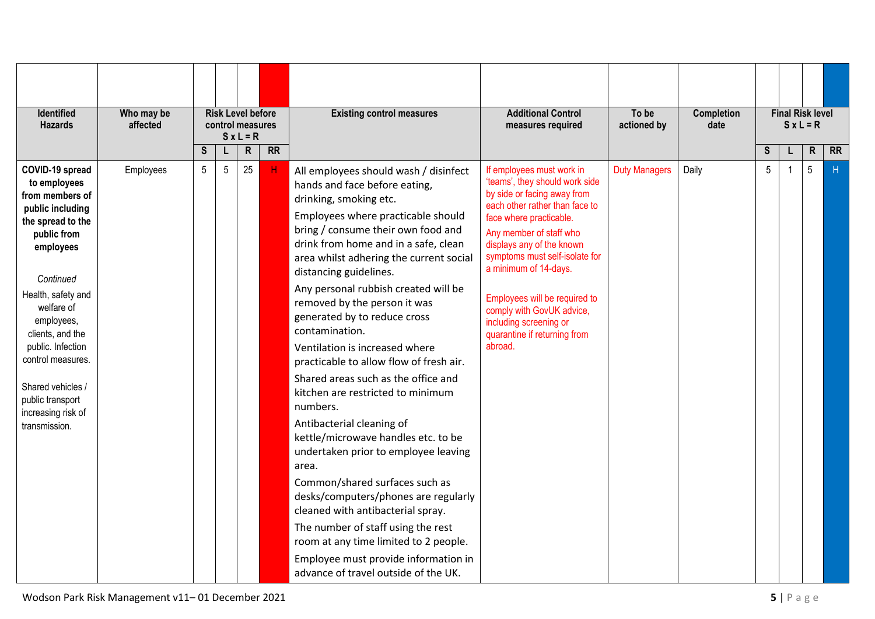| Identified<br><b>Hazards</b>                                                                                                                                                                                                                                                                                                         | Who may be<br>affected |   |                 | <b>Risk Level before</b><br>control measures<br>$S x L = R$ |           | <b>Existing control measures</b>                                                                                                                                                                                                                                                                                                                                                                                                                                                                                                                                                                                                                                                                                                                                                                                                                                                                                                                                                            | <b>Additional Control</b><br>measures required                                                                                                                                                                                                                                                                                                                                                                | To be<br>actioned by | <b>Completion</b><br>date |   | <b>Final Risk level</b><br>$S x L = R$ |           |
|--------------------------------------------------------------------------------------------------------------------------------------------------------------------------------------------------------------------------------------------------------------------------------------------------------------------------------------|------------------------|---|-----------------|-------------------------------------------------------------|-----------|---------------------------------------------------------------------------------------------------------------------------------------------------------------------------------------------------------------------------------------------------------------------------------------------------------------------------------------------------------------------------------------------------------------------------------------------------------------------------------------------------------------------------------------------------------------------------------------------------------------------------------------------------------------------------------------------------------------------------------------------------------------------------------------------------------------------------------------------------------------------------------------------------------------------------------------------------------------------------------------------|---------------------------------------------------------------------------------------------------------------------------------------------------------------------------------------------------------------------------------------------------------------------------------------------------------------------------------------------------------------------------------------------------------------|----------------------|---------------------------|---|----------------------------------------|-----------|
|                                                                                                                                                                                                                                                                                                                                      |                        | S | L               | $\mathsf R$                                                 | <b>RR</b> |                                                                                                                                                                                                                                                                                                                                                                                                                                                                                                                                                                                                                                                                                                                                                                                                                                                                                                                                                                                             |                                                                                                                                                                                                                                                                                                                                                                                                               |                      |                           | S | $\mathsf{R}$                           | <b>RR</b> |
| COVID-19 spread<br>to employees<br>from members of<br>public including<br>the spread to the<br>public from<br>employees<br>Continued<br>Health, safety and<br>welfare of<br>employees,<br>clients, and the<br>public. Infection<br>control measures.<br>Shared vehicles /<br>public transport<br>increasing risk of<br>transmission. | Employees              | 5 | $5\phantom{.0}$ | 25                                                          | Н.        | All employees should wash / disinfect<br>hands and face before eating,<br>drinking, smoking etc.<br>Employees where practicable should<br>bring / consume their own food and<br>drink from home and in a safe, clean<br>area whilst adhering the current social<br>distancing guidelines.<br>Any personal rubbish created will be<br>removed by the person it was<br>generated by to reduce cross<br>contamination.<br>Ventilation is increased where<br>practicable to allow flow of fresh air.<br>Shared areas such as the office and<br>kitchen are restricted to minimum<br>numbers.<br>Antibacterial cleaning of<br>kettle/microwave handles etc. to be<br>undertaken prior to employee leaving<br>area.<br>Common/shared surfaces such as<br>desks/computers/phones are regularly<br>cleaned with antibacterial spray.<br>The number of staff using the rest<br>room at any time limited to 2 people.<br>Employee must provide information in<br>advance of travel outside of the UK. | If employees must work in<br>'teams', they should work side<br>by side or facing away from<br>each other rather than face to<br>face where practicable.<br>Any member of staff who<br>displays any of the known<br>symptoms must self-isolate for<br>a minimum of 14-days.<br>Employees will be required to<br>comply with GovUK advice,<br>including screening or<br>quarantine if returning from<br>abroad. | <b>Duty Managers</b> | Daily                     | 5 | 5                                      | H         |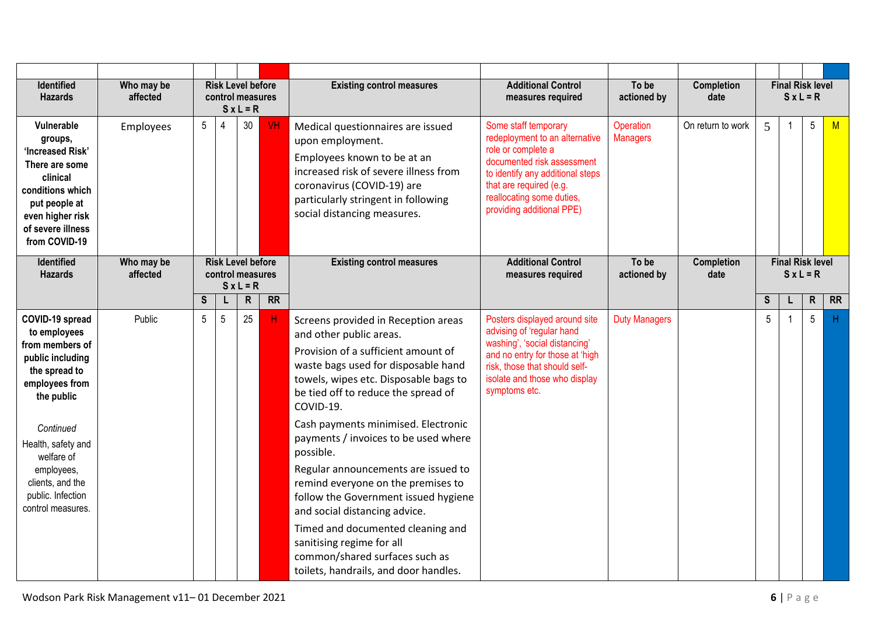| Identified<br><b>Hazards</b>                                                                                                                                                                                                                         | Who may be<br>affected |             | <b>Risk Level before</b><br>control measures | $SxL = R$   |           | <b>Existing control measures</b>                                                                                                                                                                                                                                                                                                                                                                                                                                                                                                                                                                                                         | <b>Additional Control</b><br>measures required                                                                                                                                                                                      | To be<br>actioned by         | <b>Completion</b><br>date |             | <b>Final Risk level</b> | $S x L = R$     |           |
|------------------------------------------------------------------------------------------------------------------------------------------------------------------------------------------------------------------------------------------------------|------------------------|-------------|----------------------------------------------|-------------|-----------|------------------------------------------------------------------------------------------------------------------------------------------------------------------------------------------------------------------------------------------------------------------------------------------------------------------------------------------------------------------------------------------------------------------------------------------------------------------------------------------------------------------------------------------------------------------------------------------------------------------------------------------|-------------------------------------------------------------------------------------------------------------------------------------------------------------------------------------------------------------------------------------|------------------------------|---------------------------|-------------|-------------------------|-----------------|-----------|
| Vulnerable<br>groups,<br>'Increased Risk'<br>There are some<br>clinical<br>conditions which<br>put people at<br>even higher risk<br>of severe illness<br>from COVID-19                                                                               | Employees              | 5           | $\overline{4}$                               | 30          | <b>VH</b> | Medical questionnaires are issued<br>upon employment.<br>Employees known to be at an<br>increased risk of severe illness from<br>coronavirus (COVID-19) are<br>particularly stringent in following<br>social distancing measures.                                                                                                                                                                                                                                                                                                                                                                                                        | Some staff temporary<br>redeployment to an alternative<br>role or complete a<br>documented risk assessment<br>to identify any additional steps<br>that are required (e.g.<br>reallocating some duties,<br>providing additional PPE) | Operation<br><b>Managers</b> | On return to work         | 5           |                         | $5\phantom{.0}$ | M         |
| Identified<br><b>Hazards</b>                                                                                                                                                                                                                         | Who may be<br>affected |             | <b>Risk Level before</b><br>control measures | $S x L = R$ |           | <b>Existing control measures</b>                                                                                                                                                                                                                                                                                                                                                                                                                                                                                                                                                                                                         | <b>Additional Control</b><br>measures required                                                                                                                                                                                      | To be<br>actioned by         | <b>Completion</b><br>date |             | <b>Final Risk level</b> | $S x L = R$     |           |
|                                                                                                                                                                                                                                                      |                        | $\mathsf S$ | L                                            | ${\sf R}$   | <b>RR</b> |                                                                                                                                                                                                                                                                                                                                                                                                                                                                                                                                                                                                                                          |                                                                                                                                                                                                                                     |                              |                           | $\mathsf S$ |                         | ${\sf R}$       | <b>RR</b> |
| COVID-19 spread<br>to employees<br>from members of<br>public including<br>the spread to<br>employees from<br>the public<br>Continued<br>Health, safety and<br>welfare of<br>employees,<br>clients, and the<br>public. Infection<br>control measures. | Public                 | 5           | 5                                            | 25          | H         | Screens provided in Reception areas<br>and other public areas.<br>Provision of a sufficient amount of<br>waste bags used for disposable hand<br>towels, wipes etc. Disposable bags to<br>be tied off to reduce the spread of<br>COVID-19.<br>Cash payments minimised. Electronic<br>payments / invoices to be used where<br>possible.<br>Regular announcements are issued to<br>remind everyone on the premises to<br>follow the Government issued hygiene<br>and social distancing advice.<br>Timed and documented cleaning and<br>sanitising regime for all<br>common/shared surfaces such as<br>toilets, handrails, and door handles. | Posters displayed around site<br>advising of 'regular hand<br>washing', 'social distancing'<br>and no entry for those at 'high<br>risk, those that should self-<br>isolate and those who display<br>symptoms etc.                   | <b>Duty Managers</b>         |                           | 5           |                         | 5               | H         |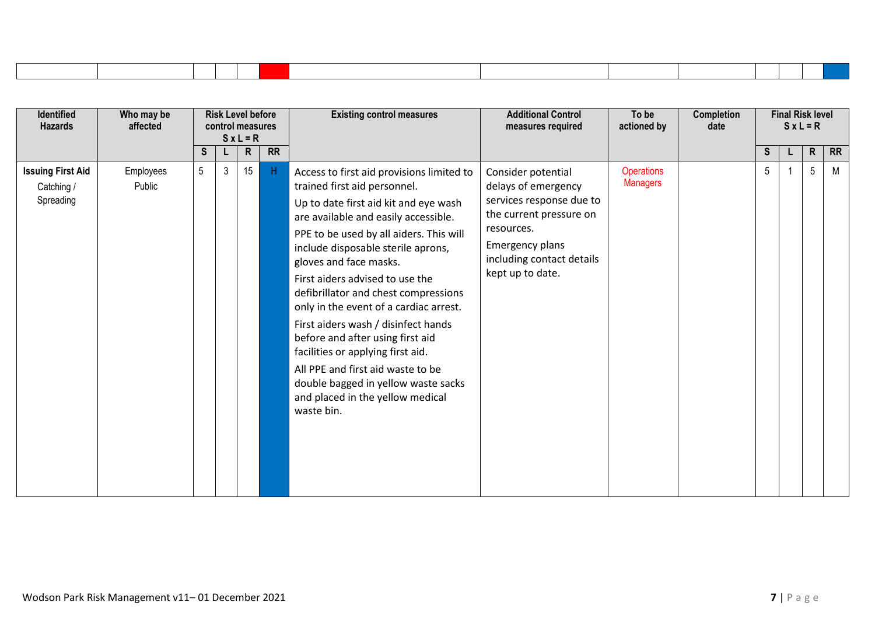| <b>Identified</b><br><b>Hazards</b>                 | Who may be<br>affected |                 | <b>Risk Level before</b><br>control measures | $S \times L = R$ |           | <b>Existing control measures</b>                                                                                                                                                                                                                                                                                                                                                                                                                                                                                                                                                                                                         | <b>Additional Control</b><br>measures required                                                                                                                                     | To be<br>actioned by                 | <b>Completion</b><br>date |                 | <b>Final Risk level</b><br>$S x L = R$ |              |           |
|-----------------------------------------------------|------------------------|-----------------|----------------------------------------------|------------------|-----------|------------------------------------------------------------------------------------------------------------------------------------------------------------------------------------------------------------------------------------------------------------------------------------------------------------------------------------------------------------------------------------------------------------------------------------------------------------------------------------------------------------------------------------------------------------------------------------------------------------------------------------------|------------------------------------------------------------------------------------------------------------------------------------------------------------------------------------|--------------------------------------|---------------------------|-----------------|----------------------------------------|--------------|-----------|
|                                                     |                        | S               | L.                                           | $\mathsf{R}$     | <b>RR</b> |                                                                                                                                                                                                                                                                                                                                                                                                                                                                                                                                                                                                                                          |                                                                                                                                                                                    |                                      |                           | S               |                                        | $\mathsf{R}$ | <b>RR</b> |
| <b>Issuing First Aid</b><br>Catching /<br>Spreading | Employees<br>Public    | $5\overline{)}$ | 3 <sup>1</sup>                               | 15               | H         | Access to first aid provisions limited to<br>trained first aid personnel.<br>Up to date first aid kit and eye wash<br>are available and easily accessible.<br>PPE to be used by all aiders. This will<br>include disposable sterile aprons,<br>gloves and face masks.<br>First aiders advised to use the<br>defibrillator and chest compressions<br>only in the event of a cardiac arrest.<br>First aiders wash / disinfect hands<br>before and after using first aid<br>facilities or applying first aid.<br>All PPE and first aid waste to be<br>double bagged in yellow waste sacks<br>and placed in the yellow medical<br>waste bin. | Consider potential<br>delays of emergency<br>services response due to<br>the current pressure on<br>resources.<br>Emergency plans<br>including contact details<br>kept up to date. | <b>Operations</b><br><b>Managers</b> |                           | $5\phantom{.0}$ |                                        | 5            | M         |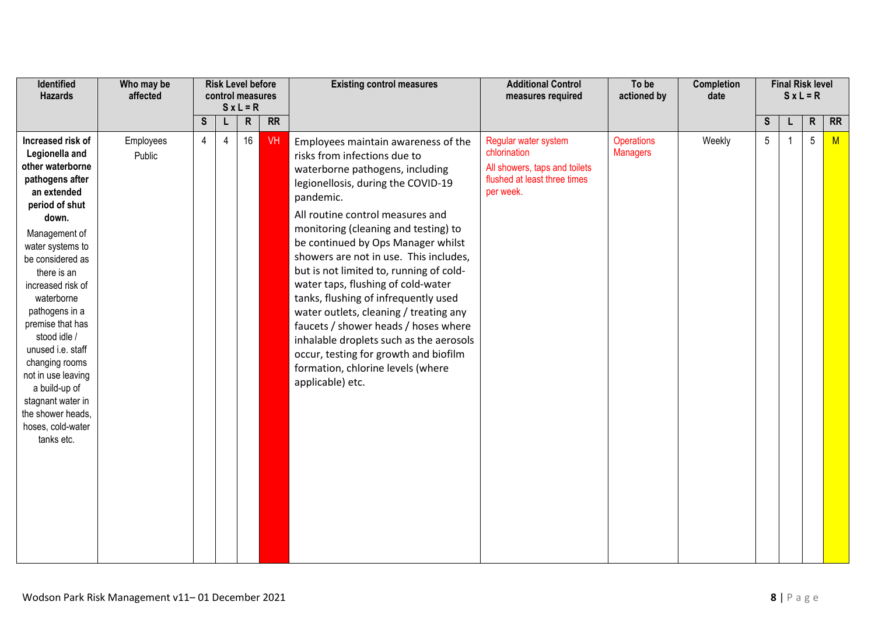| Identified<br><b>Hazards</b>                                                                                                                                                                                                                                                                                                                                                                                                                     | Who may be<br>affected |                |                | <b>Risk Level before</b><br>control measures<br>$S \times L = R$ |                 | <b>Existing control measures</b>                                                                                                                                                                                                                                                                                                                                                                                                                                                                                                                                                                                                                                              | <b>Additional Control</b><br>measures required                                                                     | To be<br>actioned by                 | <b>Completion</b><br>date |                 | <b>Final Risk level</b> | $S x L = R$  |           |
|--------------------------------------------------------------------------------------------------------------------------------------------------------------------------------------------------------------------------------------------------------------------------------------------------------------------------------------------------------------------------------------------------------------------------------------------------|------------------------|----------------|----------------|------------------------------------------------------------------|-----------------|-------------------------------------------------------------------------------------------------------------------------------------------------------------------------------------------------------------------------------------------------------------------------------------------------------------------------------------------------------------------------------------------------------------------------------------------------------------------------------------------------------------------------------------------------------------------------------------------------------------------------------------------------------------------------------|--------------------------------------------------------------------------------------------------------------------|--------------------------------------|---------------------------|-----------------|-------------------------|--------------|-----------|
|                                                                                                                                                                                                                                                                                                                                                                                                                                                  |                        | S              | L.             | $\mathsf{R}$                                                     | $\overline{RR}$ |                                                                                                                                                                                                                                                                                                                                                                                                                                                                                                                                                                                                                                                                               |                                                                                                                    |                                      |                           | S               | L                       | $\mathsf{R}$ | <b>RR</b> |
| Increased risk of<br>Legionella and<br>other waterborne<br>pathogens after<br>an extended<br>period of shut<br>down.<br>Management of<br>water systems to<br>be considered as<br>there is an<br>increased risk of<br>waterborne<br>pathogens in a<br>premise that has<br>stood idle /<br>unused i.e. staff<br>changing rooms<br>not in use leaving<br>a build-up of<br>stagnant water in<br>the shower heads,<br>hoses, cold-water<br>tanks etc. | Employees<br>Public    | $\overline{4}$ | $\overline{4}$ | 16                                                               | VH              | Employees maintain awareness of the<br>risks from infections due to<br>waterborne pathogens, including<br>legionellosis, during the COVID-19<br>pandemic.<br>All routine control measures and<br>monitoring (cleaning and testing) to<br>be continued by Ops Manager whilst<br>showers are not in use. This includes,<br>but is not limited to, running of cold-<br>water taps, flushing of cold-water<br>tanks, flushing of infrequently used<br>water outlets, cleaning / treating any<br>faucets / shower heads / hoses where<br>inhalable droplets such as the aerosols<br>occur, testing for growth and biofilm<br>formation, chlorine levels (where<br>applicable) etc. | Regular water system<br>chlorination<br>All showers, taps and toilets<br>flushed at least three times<br>per week. | <b>Operations</b><br><b>Managers</b> | Weekly                    | $5\phantom{.0}$ |                         | 5            | M         |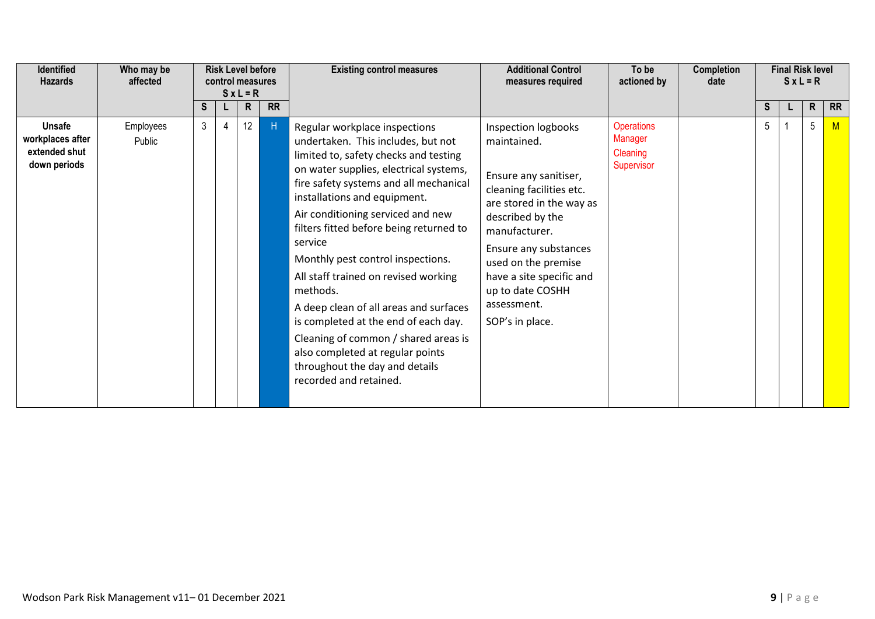| <b>Identified</b><br><b>Hazards</b>                                | Who may be<br>affected |                | <b>Risk Level before</b><br>control measures | $S \times L = R$ |           | <b>Existing control measures</b>                                                                                                                                                                                                                                                                                                                                                                                                                                                                                                                                                                                                               | <b>Additional Control</b><br>measures required                                                                                                                                                                                                                                             | To be<br>actioned by                                          | <b>Completion</b><br>date |   | <b>Final Risk level</b> | $SxL = R$       |           |
|--------------------------------------------------------------------|------------------------|----------------|----------------------------------------------|------------------|-----------|------------------------------------------------------------------------------------------------------------------------------------------------------------------------------------------------------------------------------------------------------------------------------------------------------------------------------------------------------------------------------------------------------------------------------------------------------------------------------------------------------------------------------------------------------------------------------------------------------------------------------------------------|--------------------------------------------------------------------------------------------------------------------------------------------------------------------------------------------------------------------------------------------------------------------------------------------|---------------------------------------------------------------|---------------------------|---|-------------------------|-----------------|-----------|
|                                                                    |                        | S.             |                                              | R.               | <b>RR</b> |                                                                                                                                                                                                                                                                                                                                                                                                                                                                                                                                                                                                                                                |                                                                                                                                                                                                                                                                                            |                                                               |                           | S |                         | R               | <b>RR</b> |
| <b>Unsafe</b><br>workplaces after<br>extended shut<br>down periods | Employees<br>Public    | 3 <sup>1</sup> | 4                                            | 12               | H         | Regular workplace inspections<br>undertaken. This includes, but not<br>limited to, safety checks and testing<br>on water supplies, electrical systems,<br>fire safety systems and all mechanical<br>installations and equipment.<br>Air conditioning serviced and new<br>filters fitted before being returned to<br>service<br>Monthly pest control inspections.<br>All staff trained on revised working<br>methods.<br>A deep clean of all areas and surfaces<br>is completed at the end of each day.<br>Cleaning of common / shared areas is<br>also completed at regular points<br>throughout the day and details<br>recorded and retained. | Inspection logbooks<br>maintained.<br>Ensure any sanitiser,<br>cleaning facilities etc.<br>are stored in the way as<br>described by the<br>manufacturer.<br>Ensure any substances<br>used on the premise<br>have a site specific and<br>up to date COSHH<br>assessment.<br>SOP's in place. | <b>Operations</b><br><b>Manager</b><br>Cleaning<br>Supervisor |                           | 5 |                         | $5\phantom{.0}$ | M         |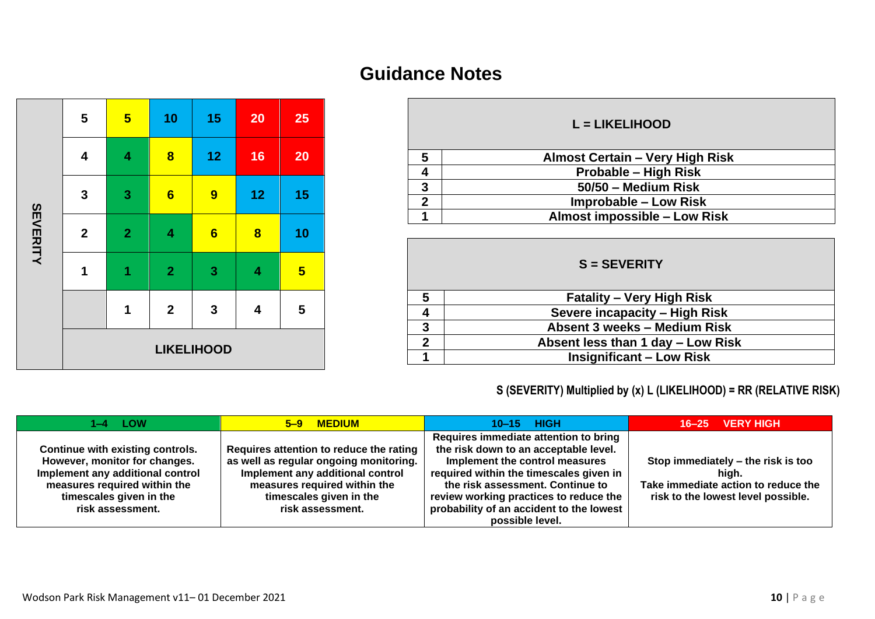|          | 5                | $\overline{\mathbf{5}}$ | 10                      | 15                      | 20                      | 25                      |
|----------|------------------|-------------------------|-------------------------|-------------------------|-------------------------|-------------------------|
|          | 4                | $\overline{\mathbf{4}}$ | $\overline{\mathbf{8}}$ | 12                      | 16                      | 20                      |
|          | $\mathbf 3$      | $\overline{\mathbf{3}}$ | $6\phantom{1}$          | 9                       | 12                      | 15                      |
| SEVERITY | $\boldsymbol{2}$ | $\overline{2}$          | 4                       | $6\phantom{1}$          | $\bf{8}$                | 10                      |
|          | $\mathbf 1$      | $\overline{\mathbf{1}}$ | $\overline{2}$          | $\overline{\mathbf{3}}$ | 4                       | $\overline{\mathbf{5}}$ |
|          |                  | 1                       | $\mathbf{2}$            | $\mathbf{3}$            | $\overline{\mathbf{4}}$ | 5                       |
|          |                  |                         |                         | <b>LIKELIHOOD</b>       |                         |                         |

## **Guidance Notes**

Е

|   | $L = LIKELIHOOD$                       |
|---|----------------------------------------|
| 5 | <b>Almost Certain - Very High Risk</b> |
|   | Probable - High Risk                   |
| 3 | 50/50 - Medium Risk                    |
| 2 | <b>Improbable – Low Risk</b>           |
|   | Almost impossible - Low Risk           |

|   | $S = SEVERITY$                    |  |  |  |  |  |
|---|-----------------------------------|--|--|--|--|--|
| 5 | <b>Fatality – Very High Risk</b>  |  |  |  |  |  |
|   | Severe incapacity - High Risk     |  |  |  |  |  |
| 3 | Absent 3 weeks - Medium Risk      |  |  |  |  |  |
| 2 | Absent less than 1 day - Low Risk |  |  |  |  |  |
|   | <b>Insignificant - Low Risk</b>   |  |  |  |  |  |

## **S (SEVERITY) Multiplied by (x) L (LIKELIHOOD) = RR (RELATIVE RISK)**

| $1-4$ LOW                                                                                                                                                                            | <b>MEDIUM</b><br>$5 - 9$                                                                                                                                                                             | 10-15 HIGH                                                                                                                                                                                                                                                                                               | 16-25 VERY HIGH                                                                                                          |
|--------------------------------------------------------------------------------------------------------------------------------------------------------------------------------------|------------------------------------------------------------------------------------------------------------------------------------------------------------------------------------------------------|----------------------------------------------------------------------------------------------------------------------------------------------------------------------------------------------------------------------------------------------------------------------------------------------------------|--------------------------------------------------------------------------------------------------------------------------|
| Continue with existing controls.<br>However, monitor for changes.<br>Implement any additional control<br>measures required within the<br>timescales given in the<br>risk assessment. | Requires attention to reduce the rating<br>as well as regular ongoing monitoring.<br>Implement any additional control<br>measures required within the<br>timescales given in the<br>risk assessment. | Requires immediate attention to bring<br>the risk down to an acceptable level.<br>Implement the control measures<br>required within the timescales given in<br>the risk assessment. Continue to<br>review working practices to reduce the<br>probability of an accident to the lowest<br>possible level. | Stop immediately – the risk is too<br>hiah.<br>Take immediate action to reduce the<br>risk to the lowest level possible. |